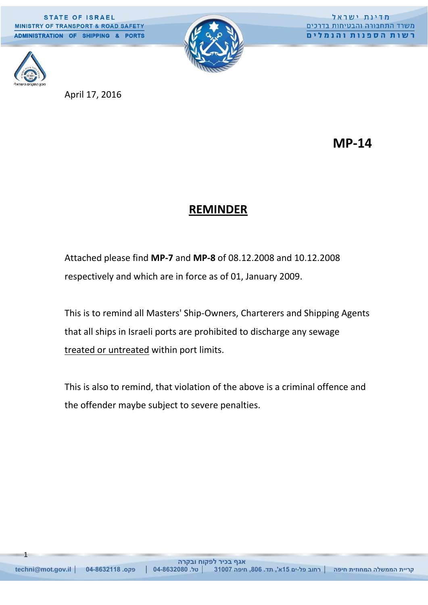**STATE OF ISRAEL** MINISTRY OF TRANSPORT & ROAD SAFETY ADMINISTRATION OF SHIPPING & PORTS



מדינת ישראל משרד התחבורה והבטיחות בדרכים <u>רשות הספנות והנמלים</u>



1

April 17, 2016

**MP-14**

# **REMINDER**

Attached please find **MP-7** and **MP-8** of 08.12.2008 and 10.12.2008 respectively and which are in force as of 01, January 2009.

This is to remind all Masters' Ship-Owners, Charterers and Shipping Agents that all ships in Israeli ports are prohibited to discharge any sewage treated or untreated within port limits.

This is also to remind, that violation of the above is a criminal offence and the offender maybe subject to severe penalties.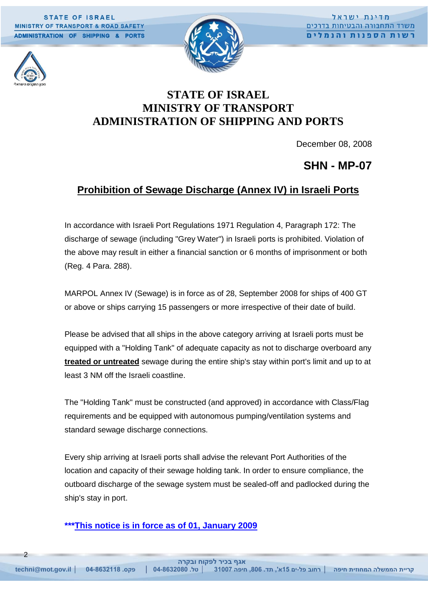**STATE OF ISRAEL** MINISTRY OF TRANSPORT & ROAD SAFETY **ADMINISTRATION OF SHIPPING & PORTS** 



## **STATE OF ISRAEL MINISTRY OF TRANSPORT ADMINISTRATION OF SHIPPING AND PORTS**

December 08, 2008

### **SHN - MP-07**

### **Prohibition of Sewage Discharge (Annex IV) in Israeli Ports**

In accordance with Israeli Port Regulations 1971 Regulation 4, Paragraph 172: The discharge of sewage (including "Grey Water") in Israeli ports is prohibited. Violation of the above may result in either a financial sanction or 6 months of imprisonment or both (Reg. 4 Para. 288).

MARPOL Annex IV (Sewage) is in force as of 28, September 2008 for ships of 400 GT or above or ships carrying 15 passengers or more irrespective of their date of build.

Please be advised that all ships in the above category arriving at Israeli ports must be equipped with a "Holding Tank" of adequate capacity as not to discharge overboard any **treated or untreated** sewage during the entire ship's stay within port's limit and up to at least 3 NM off the Israeli coastline.

The "Holding Tank" must be constructed (and approved) in accordance with Class/Flag requirements and be equipped with autonomous pumping/ventilation systems and standard sewage discharge connections.

Every ship arriving at Israeli ports shall advise the relevant Port Authorities of the location and capacity of their sewage holding tank. In order to ensure compliance, the outboard discharge of the sewage system must be sealed-off and padlocked during the ship's stay in port.

#### **\*\*\*This notice is in force as of 01, January 2009**

 $\overline{\phantom{0}}$